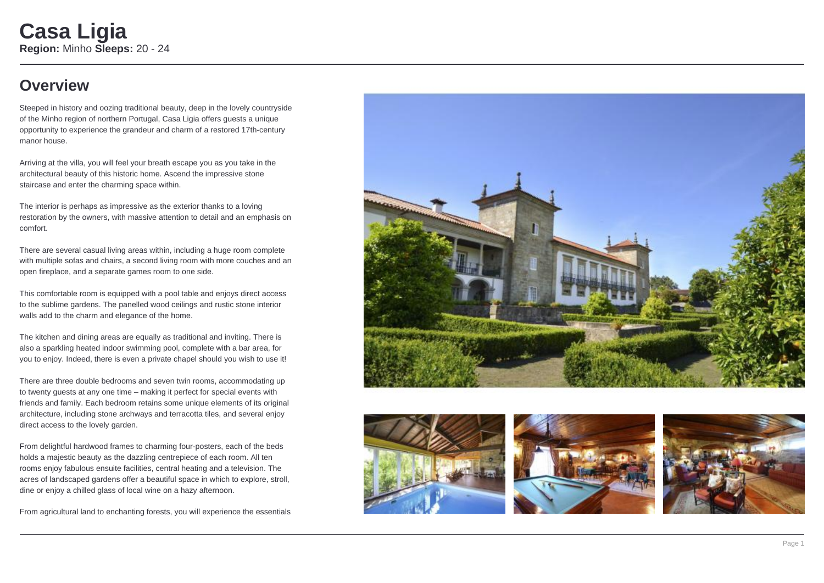## **Overview**

Steeped in history and oozing traditional beauty, deep in the lovely countryside of the Minho region of northern Portugal, Casa Ligia offers guests a unique opportunity to experience the grandeur and charm of a restored 17th-century manor house.

Arriving at the villa, you will feel your breath escape you as you take in the architectural beauty of this historic home. Ascend the impressive stone staircase and enter the charming space within.

The interior is perhaps as impressive as the exterior thanks to a loving restoration by the owners, with massive attention to detail and an emphasis on comfort.

There are several casual living areas within, including a huge room complete with multiple sofas and chairs, a second living room with more couches and an open fireplace, and a separate games room to one side.

This comfortable room is equipped with a pool table and enjoys direct access to the sublime gardens. The panelled wood ceilings and rustic stone interior walls add to the charm and elegance of the home.

The kitchen and dining areas are equally as traditional and inviting. There is also a sparkling heated indoor swimming pool, complete with a bar area, for you to enjoy. Indeed, there is even a private chapel should you wish to use it!

There are three double bedrooms and seven twin rooms, accommodating up to twenty guests at any one time – making it perfect for special events with friends and family. Each bedroom retains some unique elements of its original architecture, including stone archways and terracotta tiles, and several enjoy direct access to the lovely garden.

From delightful hardwood frames to charming four-posters, each of the beds holds a majestic beauty as the dazzling centrepiece of each room. All ten rooms enjoy fabulous ensuite facilities, central heating and a television. The acres of landscaped gardens offer a beautiful space in which to explore, stroll, dine or enjoy a chilled glass of local wine on a hazy afternoon.

From agricultural land to enchanting forests, you will experience the essentials







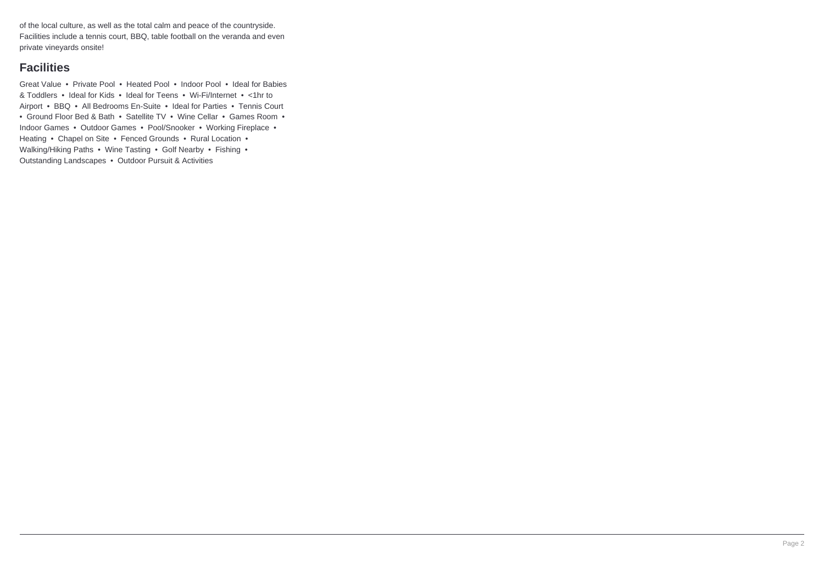of the local culture, as well as the total calm and peace of the countryside. Facilities include a tennis court, BBQ, table football on the veranda and even private vineyards onsite!

### **Facilities**

Great Value • Private Pool • Heated Pool • Indoor Pool • Ideal for Babies & Toddlers • Ideal for Kids • Ideal for Teens • Wi-Fi/Internet • <1hr to Airport • BBQ • All Bedrooms En-Suite • Ideal for Parties • Tennis Court • Ground Floor Bed & Bath • Satellite TV • Wine Cellar • Games Room • Indoor Games • Outdoor Games • Pool/Snooker • Working Fireplace • Heating • Chapel on Site • Fenced Grounds • Rural Location • Walking/Hiking Paths • Wine Tasting • Golf Nearby • Fishing • Outstanding Landscapes • Outdoor Pursuit & Activities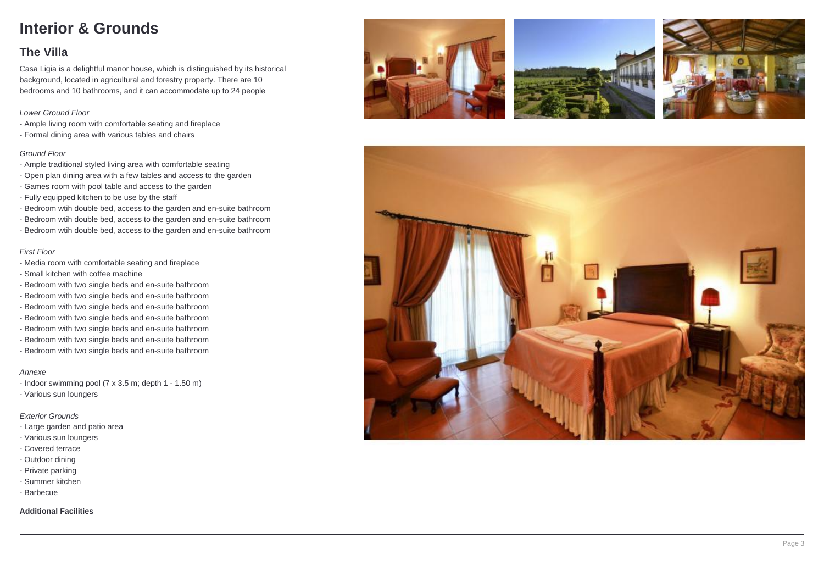# **Interior & Grounds**

## **The Villa**

Casa Ligia is a delightful manor house, which is distinguished by its historical background, located in agricultural and forestry property. There are 10 bedrooms and 10 bathrooms, and it can accommodate up to 24 people

### Lower Ground Floor

- Ample living room with comfortable seating and fireplace
- Formal dining area with various tables and chairs

### Ground Floor

- Ample traditional styled living area with comfortable seating
- Open plan dining area with a few tables and access to the garden
- Games room with pool table and access to the garden
- Fully equipped kitchen to be use by the staff
- Bedroom wtih double bed, access to the garden and en-suite bathroom
- Bedroom wtih double bed, access to the garden and en-suite bathroom
- Bedroom wtih double bed, access to the garden and en-suite bathroom

### First Floor

- Media room with comfortable seating and fireplace
- Small kitchen with coffee machine
- Bedroom with two single beds and en-suite bathroom
- Bedroom with two single beds and en-suite bathroom
- Bedroom with two single beds and en-suite bathroom
- Bedroom with two single beds and en-suite bathroom
- Bedroom with two single beds and en-suite bathroom
- Bedroom with two single beds and en-suite bathroom
- Bedroom with two single beds and en-suite bathroom

#### Annexe

- Indoor swimming pool (7 x 3.5 m; depth 1 1.50 m)
- Various sun loungers

### Exterior Grounds

- Large garden and patio area
- Various sun loungers
- Covered terrace
- Outdoor dining
- Private parking
- Summer kitchen
- Barbecue

### **Additional Facilities**







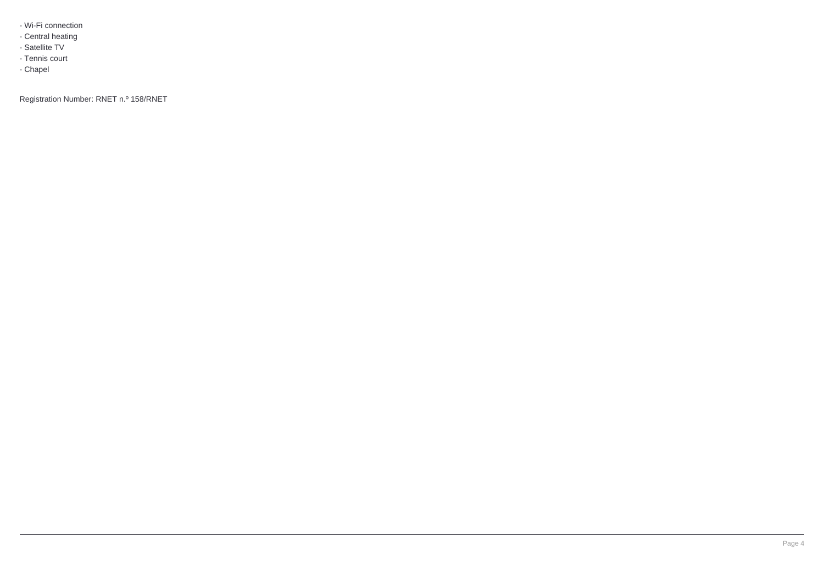- Wi-Fi connection
- Central heating
- Satellite TV
- Tennis court
- Chapel

Registration Number: RNET n.º 158/RNET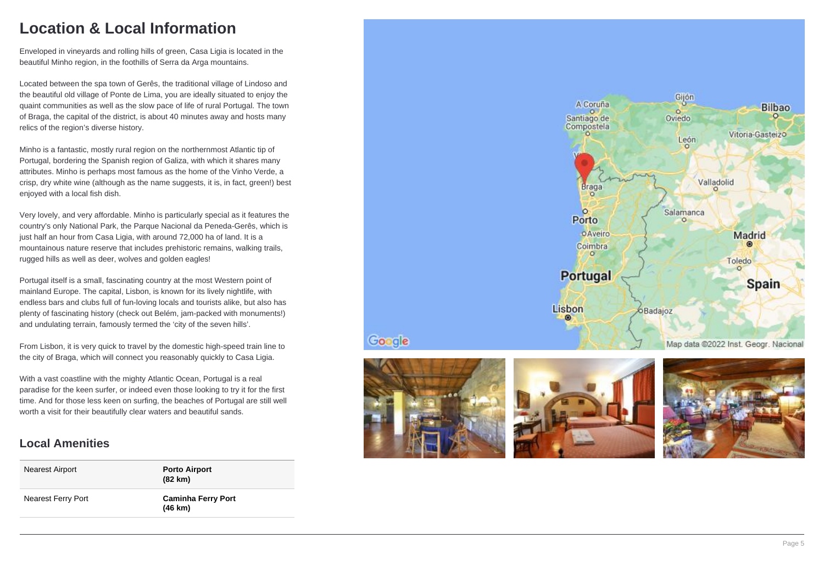# **Location & Local Information**

Enveloped in vineyards and rolling hills of green, Casa Ligia is located in the beautiful Minho region, in the foothills of Serra da Arga mountains.

Located between the spa town of Gerês, the traditional village of Lindoso and the beautiful old village of Ponte de Lima, you are ideally situated to enjoy the quaint communities as well as the slow pace of life of rural Portugal. The town of Braga, the capital of the district, is about 40 minutes away and hosts many relics of the region's diverse history.

Minho is a fantastic, mostly rural region on the northernmost Atlantic tip of Portugal, bordering the Spanish region of Galiza, with which it shares many attributes. Minho is perhaps most famous as the home of the Vinho Verde, a crisp, dry white wine (although as the name suggests, it is, in fact, green!) best enjoyed with a local fish dish.

Very lovely, and very affordable. Minho is particularly special as it features the country's only National Park, the Parque Nacional da Peneda-Gerês, which is just half an hour from Casa Ligia, with around 72,000 ha of land. It is a mountainous nature reserve that includes prehistoric remains, walking trails, rugged hills as well as deer, wolves and golden eagles!

Portugal itself is a small, fascinating country at the most Western point of mainland Europe. The capital, Lisbon, is known for its lively nightlife, with endless bars and clubs full of fun-loving locals and tourists alike, but also has plenty of fascinating history (check out Belém, jam-packed with monuments!) and undulating terrain, famously termed the 'city of the seven hills'.

From Lisbon, it is very quick to travel by the domestic high-speed train line to the city of Braga, which will connect you reasonably quickly to Casa Ligia.

With a vast coastline with the mighty Atlantic Ocean, Portugal is a real paradise for the keen surfer, or indeed even those looking to try it for the first time. And for those less keen on surfing, the beaches of Portugal are still well worth a visit for their beautifully clear waters and beautiful sands.

## **Local Amenities**

| Nearest Airport    | <b>Porto Airport</b><br>(82 km)                |
|--------------------|------------------------------------------------|
| Nearest Ferry Port | <b>Caminha Ferry Port</b><br>$(46 \text{ km})$ |





Google



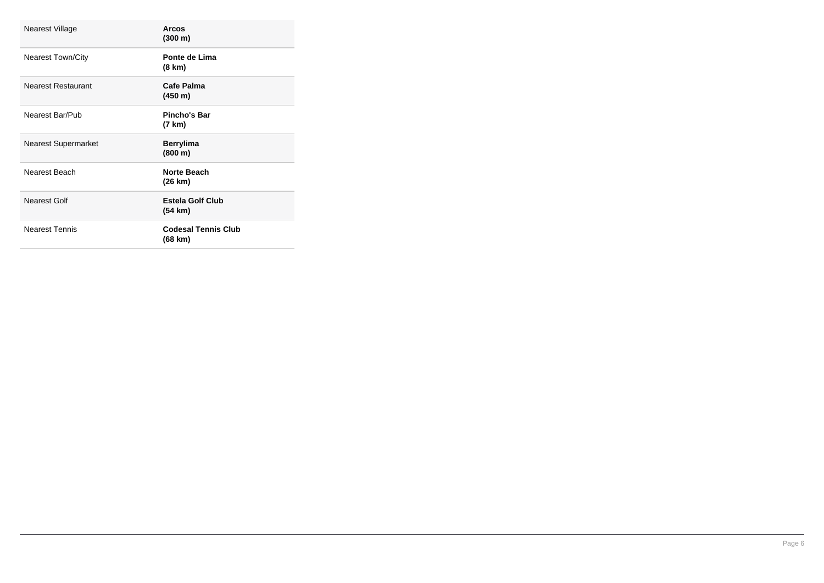| Nearest Village            | Arcos<br>(300 m)                      |
|----------------------------|---------------------------------------|
| <b>Nearest Town/City</b>   | Ponte de Lima<br>(8 km)               |
| Nearest Restaurant         | Cafe Palma<br>(450 m)                 |
| Nearest Bar/Pub            | Pincho's Bar<br>(7 km)                |
| <b>Nearest Supermarket</b> | <b>Berrylima</b><br>(800 m)           |
| Nearest Beach              | Norte Beach<br>(26 km)                |
| Nearest Golf               | <b>Estela Golf Club</b><br>(54 km)    |
| <b>Nearest Tennis</b>      | <b>Codesal Tennis Club</b><br>(68 km) |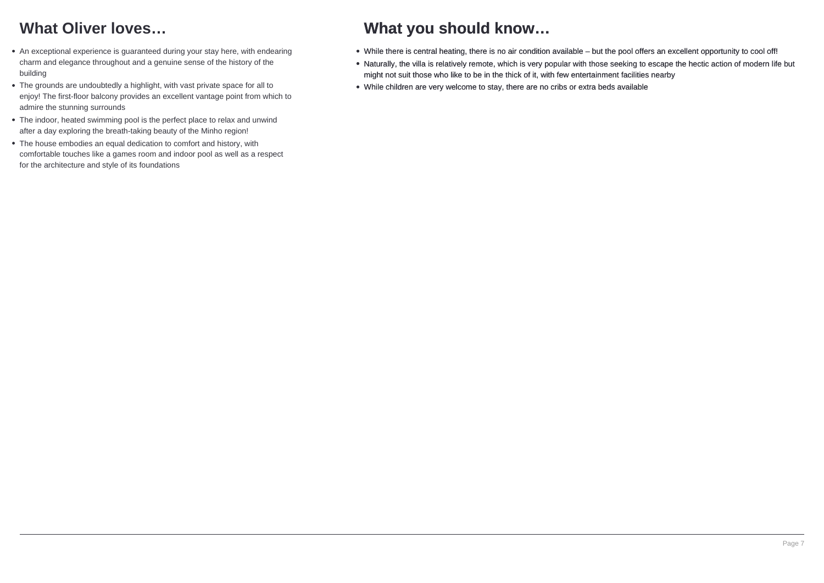# **What Oliver loves…**

- An exceptional experience is guaranteed during your stay here, with endearing charm and elegance throughout and a genuine sense of the history of the building
- The grounds are undoubtedly a highlight, with vast private space for all to enjoy! The first-floor balcony provides an excellent vantage point from which to admire the stunning surrounds
- The indoor, heated swimming pool is the perfect place to relax and unwind after a day exploring the breath-taking beauty of the Minho region!
- The house embodies an equal dedication to comfort and history, with comfortable touches like a games room and indoor pool as well as a respect for the architecture and style of its foundations

# **What you should know…**

- While there is central heating, there is no air condition available but the pool offers an excellent opportunity to cool off!
- Naturally, the villa is relatively remote, which is very popular with those seeking to escape the hectic action of modern life but might not suit those who like to be in the thick of it, with few entertainment facilities nearby
- While children are very welcome to stay, there are no cribs or extra beds available